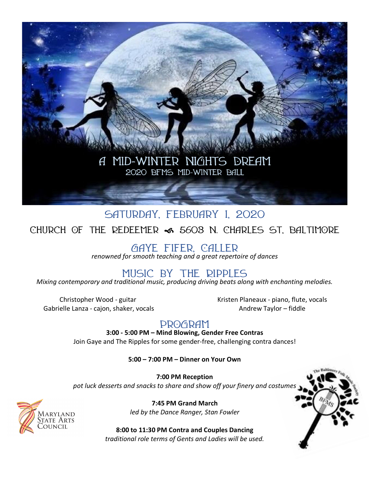

# **Saturday, February 1, 2020 Church of the Redeemer** f **5603 N. Charles St, Baltimore**

**Gaye Fifer, Caller** 

*renowned for smooth teaching and a great repertoire of dances*

## **Music by The Ripples**

*Mixing contemporary and traditional music, producing driving beats along with enchanting melodies.*

Christopher Wood - guitar Gabrielle Lanza - cajon, shaker, vocals Kristen Planeaux - piano, flute, vocals Andrew Taylor – fiddle

## **Program**

**3:00 - 5:00 PM – Mind Blowing, Gender Free Contras** Join Gaye and The Ripples for some gender-free, challenging contra dances!

**5:00 – 7:00 PM – Dinner on Your Own**

**7:00 PM Reception**  *pot luck desserts and snacks to share and show off your finery and costumes* 

> **7:45 PM Grand March** *led by the Dance Ranger, Stan Fowler*

**8:00 to 11:30 PM Contra and Couples Dancing** *traditional role terms of Gents and Ladies will be used.*